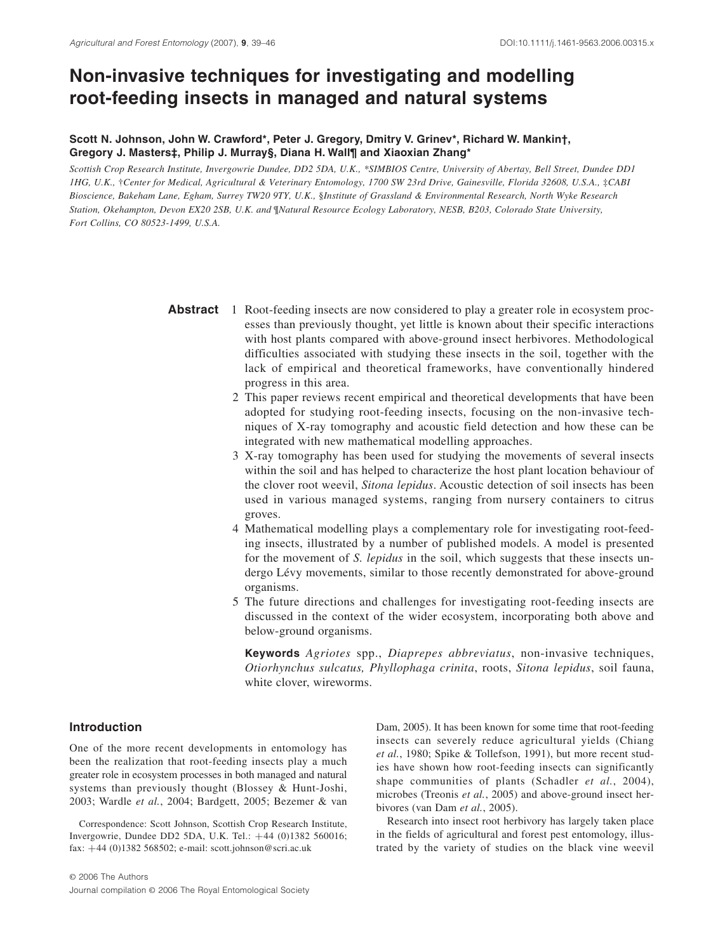# **Non-invasive techniques for investigating and modelling root-feeding insects in managed and natural systems**

## Scott N. Johnson, John W. Crawford\*, Peter J. Gregory, Dmitry V. Grinev\*, Richard W. Mankin†, Gregory J. Masters‡, Philip J. Murray§, Diana H. Wall¶ and Xiaoxian Zhang\*

 *Scottish Crop Research Institute, Invergowrie Dundee, DD2 5DA, U.K., \* SIMBIOS Centre, University of Abertay, Bell Street, Dundee DD1 1HG, U.K.,* † *Center for Medical, Agricultural & Veterinary Entomology, 1700 SW 23rd Drive, Gainesville, Florida 32608, U.S.A.,* ‡ *CABI Bioscience, Bakeham Lane, Egham, Surrey TW20 9TY, U.K.,* § *Institute of Grassland & Environmental Research, North Wyke Research Station, Okehampton, Devon EX20 2SB, U.K. and* ¶ *Natural Resource Ecology Laboratory, NESB, B203, Colorado State University, Fort Collins, CO 80523-1499, U.S.A.* 

- **Abstract** 1 Root-feeding insects are now considered to play a greater role in ecosystem processes than previously thought, yet little is known about their specific interactions with host plants compared with above-ground insect herbivores. Methodological difficulties associated with studying these insects in the soil, together with the lack of empirical and theoretical frameworks, have conventionally hindered progress in this area.
	- 2 This paper reviews recent empirical and theoretical developments that have been adopted for studying root-feeding insects, focusing on the non-invasive techniques of X-ray tomography and acoustic field detection and how these can be integrated with new mathematical modelling approaches.
	- 3 X-ray tomography has been used for studying the movements of several insects within the soil and has helped to characterize the host plant location behaviour of the clover root weevil, *Sitona lepidus* . Acoustic detection of soil insects has been used in various managed systems, ranging from nursery containers to citrus groves.
	- 4 Mathematical modelling plays a complementary role for investigating root-feeding insects, illustrated by a number of published models. A model is presented for the movement of *S. lepidus* in the soil, which suggests that these insects undergo Lévy movements, similar to those recently demonstrated for above-ground organisms.
	- 5 The future directions and challenges for investigating root-feeding insects are discussed in the context of the wider ecosystem, incorporating both above and below-ground organisms.

Keywords *Agriotes* spp., *Diaprepes abbreviatus*, non-invasive techniques, *Otiorhynchus sulcatus , Phyllophaga crinita* , roots , *Sitona lepidus* , soil fauna , white clover, wireworms.

#### **Introduction**

 One of the more recent developments in entomology has been the realization that root-feeding insects play a much greater role in ecosystem processes in both managed and natural systems than previously thought (Blossey & Hunt-Joshi, 2003; Wardle et al., 2004; Bardgett, 2005; Bezemer & van

 Correspondence: Scott Johnson, Scottish Crop Research Institute, Invergowrie, Dundee DD2 5DA, U.K. Tel.: +44 (0)1382 560016; fax: +44 (0)1382 568502; e-mail: scott.johnson@scri.ac.uk

Dam, 2005). It has been known for some time that root-feeding insects can severely reduce agricultural yields (Chiang *et al.*, 1980; Spike & Tollefson, 1991), but more recent studies have shown how root-feeding insects can significantly shape communities of plants (Schadler et al., 2004), microbes (Treonis et al., 2005) and above-ground insect herbivores (van Dam *et al.*, 2005).

 Research into insect root herbivory has largely taken place in the fields of agricultural and forest pest entomology, illustrated by the variety of studies on the black vine weevil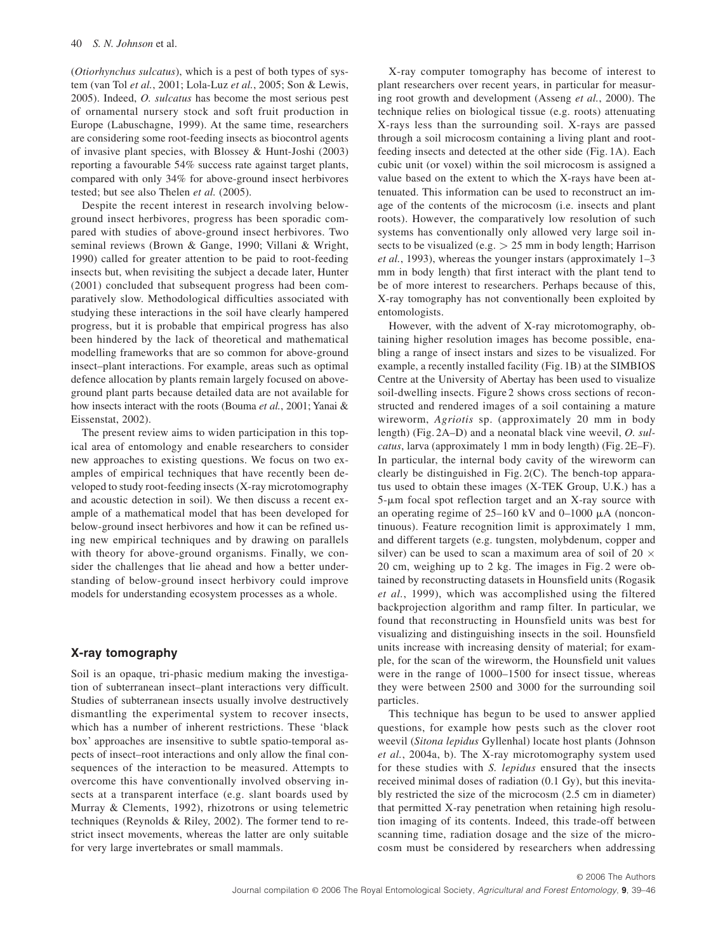( *Otiorhynchus sulcatus* ), which is a pest of both types of system ( van Tol *et al.* , 2001; Lola-Luz *et al.* , 2005; Son & Lewis, 2005 ). Indeed, *O. sulcatus* has become the most serious pest of ornamental nursery stock and soft fruit production in Europe (Labuschagne, 1999). At the same time, researchers are considering some root-feeding insects as biocontrol agents of invasive plant species, with Blossey & Hunt-Joshi (2003) reporting a favourable 54% success rate against target plants, compared with only 34% for above-ground insect herbivores tested; but see also Thelen et al. (2005).

 Despite the recent interest in research involving belowground insect herbivores, progress has been sporadic compared with studies of above-ground insect herbivores. Two seminal reviews (Brown & Gange, 1990; Villani & Wright, 1990) called for greater attention to be paid to root-feeding insects but, when revisiting the subject a decade later, Hunter (2001) concluded that subsequent progress had been comparatively slow. Methodological difficulties associated with studying these interactions in the soil have clearly hampered progress, but it is probable that empirical progress has also been hindered by the lack of theoretical and mathematical modelling frameworks that are so common for above-ground insect-plant interactions. For example, areas such as optimal defence allocation by plants remain largely focused on aboveground plant parts because detailed data are not available for how insects interact with the roots (Bouma *et al.*, 2001; Yanai & Eissenstat, 2002).

 The present review aims to widen participation in this topical area of entomology and enable researchers to consider new approaches to existing questions. We focus on two examples of empirical techniques that have recently been developed to study root-feeding insects (X-ray microtomography and acoustic detection in soil). We then discuss a recent example of a mathematical model that has been developed for below-ground insect herbivores and how it can be refined using new empirical techniques and by drawing on parallels with theory for above-ground organisms. Finally, we consider the challenges that lie ahead and how a better understanding of below-ground insect herbivory could improve models for understanding ecosystem processes as a whole.

#### **X-ray tomography**

 Soil is an opaque, tri-phasic medium making the investigation of subterranean insect-plant interactions very difficult. Studies of subterranean insects usually involve destructively dismantling the experimental system to recover insects, which has a number of inherent restrictions. These 'black box' approaches are insensitive to subtle spatio-temporal aspects of insect-root interactions and only allow the final consequences of the interaction to be measured. Attempts to overcome this have conventionally involved observing insects at a transparent interface (e.g. slant boards used by Murray & Clements, 1992), rhizotrons or using telemetric techniques (Reynolds & Riley, 2002). The former tend to restrict insect movements, whereas the latter are only suitable for very large invertebrates or small mammals.

 X-ray computer tomography has become of interest to plant researchers over recent years, in particular for measuring root growth and development (Asseng *et al.*, 2000). The technique relies on biological tissue (e.g. roots) attenuating X-rays less than the surrounding soil. X-rays are passed through a soil microcosm containing a living plant and rootfeeding insects and detected at the other side (Fig. 1A). Each cubic unit (or voxel) within the soil microcosm is assigned a value based on the extent to which the X-rays have been attenuated. This information can be used to reconstruct an image of the contents of the microcosm (i.e. insects and plant roots). However, the comparatively low resolution of such systems has conventionally only allowed very large soil insects to be visualized (e.g.  $> 25$  mm in body length; Harrison *et al.*, 1993), whereas the younger instars (approximately 1–3 mm in body length) that first interact with the plant tend to be of more interest to researchers. Perhaps because of this, X-ray tomography has not conventionally been exploited by entomologists.

 However, with the advent of X-ray microtomography, obtaining higher resolution images has become possible, enabling a range of insect instars and sizes to be visualized. For example, a recently installed facility (Fig. 1B) at the SIMBIOS Centre at the University of Abertay has been used to visualize soil-dwelling insects. Figure 2 shows cross sections of reconstructed and rendered images of a soil containing a mature wireworm, *Agriotis* sp. (approximately 20 mm in body length) (Fig. 2A–D) and a neonatal black vine weevil, *O. sulcatus*, larva (approximately 1 mm in body length) (Fig. 2E–F). In particular, the internal body cavity of the wireworm can clearly be distinguished in Fig.  $2(C)$ . The bench-top apparatus used to obtain these images (X-TEK Group, U.K.) has a  $5-\mu m$  focal spot reflection target and an X-ray source with an operating regime of  $25-160$  kV and  $0-1000$   $\mu$ A (noncontinuous). Feature recognition limit is approximately 1 mm, and different targets (e.g. tungsten, molybdenum, copper and silver) can be used to scan a maximum area of soil of 20  $\times$ 20 cm, weighing up to 2 kg. The images in Fig. 2 were obtained by reconstructing datasets in Hounsfield units ( Rogasik et al., 1999), which was accomplished using the filtered backprojection algorithm and ramp filter. In particular, we found that reconstructing in Hounsfield units was best for visualizing and distinguishing insects in the soil. Hounsfield units increase with increasing density of material; for example, for the scan of the wireworm, the Hounsfield unit values were in the range of 1000-1500 for insect tissue, whereas they were between 2500 and 3000 for the surrounding soil particles.

 This technique has begun to be used to answer applied questions, for example how pests such as the clover root weevil ( *Sitona lepidus* Gyllenhal) locate host plants ( Johnson *et al.*, 2004a, b). The X-ray microtomography system used for these studies with *S. lepidus* ensured that the insects received minimal doses of radiation (0.1 Gy), but this inevitably restricted the size of the microcosm (2.5 cm in diameter) that permitted X-ray penetration when retaining high resolution imaging of its contents. Indeed, this trade-off between scanning time, radiation dosage and the size of the microcosm must be considered by researchers when addressing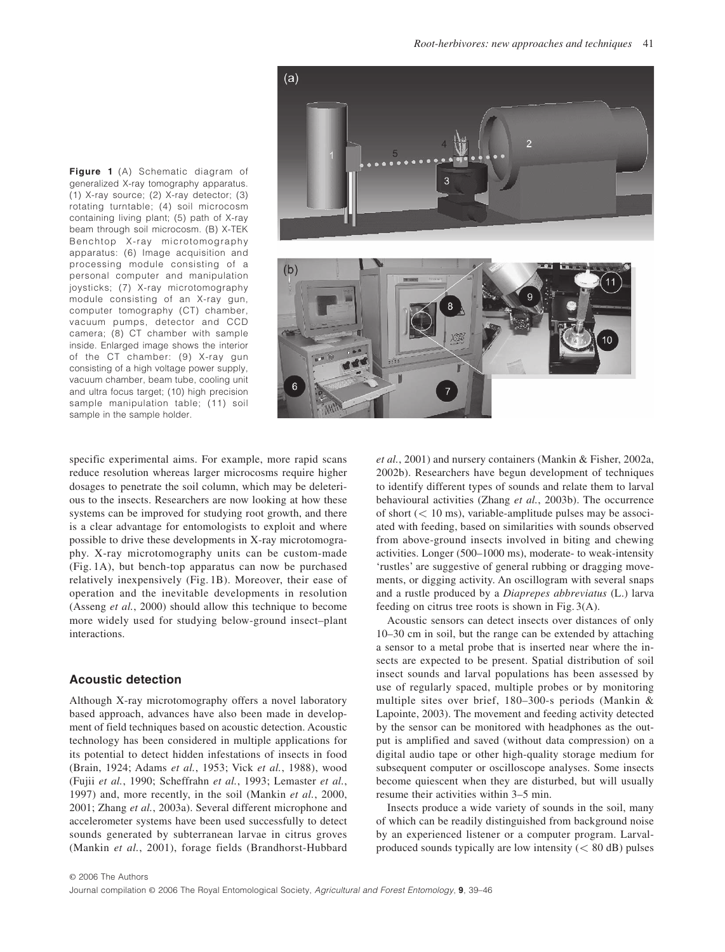**Figure 1** (A) Schematic diagram of generalized X-ray tomography apparatus. (1) X-ray source; (2) X-ray detector; (3) rotating turntable; (4) soil microcosm containing living plant; (5) path of X-ray beam through soil microcosm. (B) X-TEK Benchtop X-ray microtomography apparatus: (6) Image acquisition and processing module consisting of a personal computer and manipulation joysticks; (7) X-ray microtomography module consisting of an X-ray gun, computer tomography (CT) chamber, vacuum pumps, detector and CCD camera; (8) CT chamber with sample inside. Enlarged image shows the interior of the CT chamber: (9) X-ray gun consisting of a high voltage power supply, vacuum chamber, beam tube, cooling unit and ultra focus target; (10) high precision sample manipulation table; (11) soil sample in the sample holder.

specific experimental aims. For example, more rapid scans reduce resolution whereas larger microcosms require higher dosages to penetrate the soil column, which may be deleterious to the insects. Researchers are now looking at how these systems can be improved for studying root growth, and there is a clear advantage for entomologists to exploit and where possible to drive these developments in X-ray microtomography. X-ray microtomography units can be custom-made (Fig. 1A), but bench-top apparatus can now be purchased relatively inexpensively (Fig. 1B). Moreover, their ease of operation and the inevitable developments in resolution (Asseng *et al.*, 2000) should allow this technique to become more widely used for studying below-ground insect-plant interactions.

#### **Acoustic detection**

 Although X-ray microtomography offers a novel laboratory based approach, advances have also been made in development of field techniques based on acoustic detection. Acoustic technology has been considered in multiple applications for its potential to detect hidden infestations of insects in food ( Brain, 1924; Adams *et al.* , 1953; Vick *et al.* , 1988 ), wood ( Fujii *et al.* , 1990; Scheffrahn *et al.* , 1993; Lemaster *et al.* , 1997) and, more recently, in the soil (Mankin et al., 2000, 2001; Zhang *et al.* , 2003a ). Several different microphone and accelerometer systems have been used successfully to detect sounds generated by subterranean larvae in citrus groves (Mankin et al., 2001), forage fields (Brandhorst-Hubbard



et al., 2001) and nursery containers (Mankin & Fisher, 2002a, 2002b). Researchers have begun development of techniques to identify different types of sounds and relate them to larval behavioural activities (Zhang *et al.*, 2003b). The occurrence of short  $(< 10 \text{ ms})$ , variable-amplitude pulses may be associated with feeding, based on similarities with sounds observed from above-ground insects involved in biting and chewing activities. Longer (500–1000 ms), moderate- to weak-intensity 'rustles' are suggestive of general rubbing or dragging movements, or digging activity. An oscillogram with several snaps and a rustle produced by a *Diaprepes abbreviatus* (L.) larva feeding on citrus tree roots is shown in Fig. 3(A).

 Acoustic sensors can detect insects over distances of only 10–30 cm in soil, but the range can be extended by attaching a sensor to a metal probe that is inserted near where the insects are expected to be present. Spatial distribution of soil insect sounds and larval populations has been assessed by use of regularly spaced, multiple probes or by monitoring multiple sites over brief,  $180-300$ -s periods (Mankin & Lapointe, 2003). The movement and feeding activity detected by the sensor can be monitored with headphones as the output is amplified and saved (without data compression) on a digital audio tape or other high-quality storage medium for subsequent computer or oscilloscope analyses. Some insects become quiescent when they are disturbed, but will usually resume their activities within 3-5 min.

 Insects produce a wide variety of sounds in the soil, many of which can be readily distinguished from background noise by an experienced listener or a computer program. Larvalproduced sounds typically are low intensity  $(< 80$  dB) pulses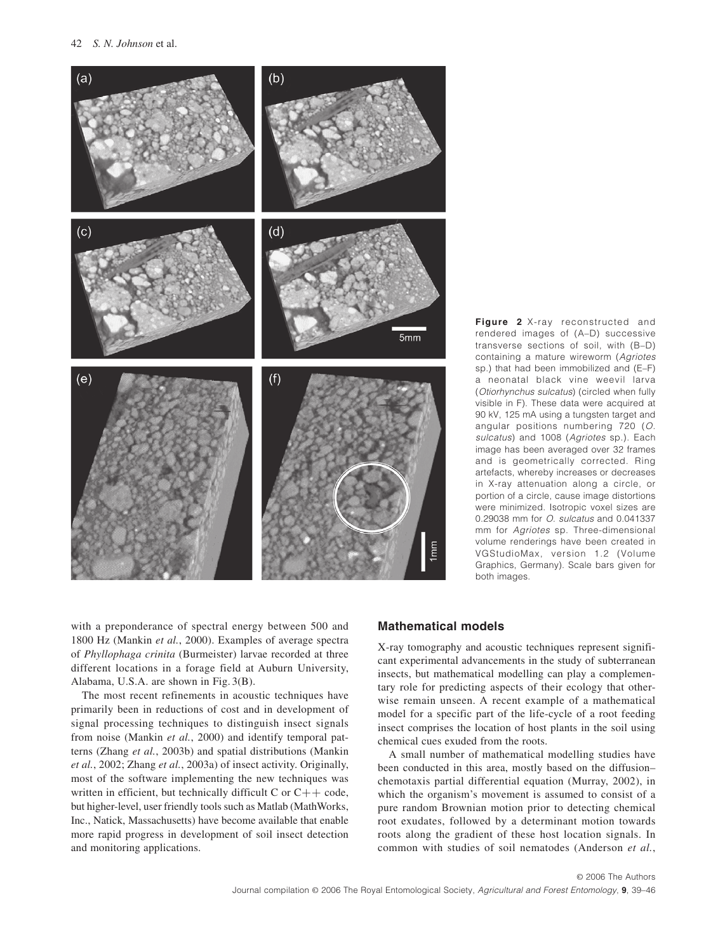

**Figure 2** X-ray reconstructed and rendered images of (A-D) successive transverse sections of soil, with (B-D) containing a mature wireworm ( *Agriotes* sp.) that had been immobilized and (E-F) a neonatal black vine weevil larva ( *Otiorhynchus sulcatus*) (circled when fully visible in F). These data were acquired at 90 kV, 125 mA using a tungsten target and angular positions numbering 720 (O. *sulcatus*) and 1008 ( *Agriotes* sp.). Each image has been averaged over 32 frames and is geometrically corrected. Ring artefacts, whereby increases or decreases in X-ray attenuation along a circle, or portion of a circle, cause image distortions were minimized. Isotropic voxel sizes are 0.29038 mm for *O. sulcatus* and 0.041337 mm for *Agriotes* sp. Three-dimensional volume renderings have been created in VGStudioMax, version 1.2 (Volume Graphics, Germany). Scale bars given for both images.

with a preponderance of spectral energy between 500 and 1800 Hz (Mankin *et al.*, 2000). Examples of average spectra of *Phyllophaga crinita* (Burmeister) larvae recorded at three different locations in a forage field at Auburn University, Alabama, U.S.A. are shown in Fig. 3(B) .

 The most recent refinements in acoustic techniques have primarily been in reductions of cost and in development of signal processing techniques to distinguish insect signals from noise (Mankin et al., 2000) and identify temporal patterns (Zhang et al., 2003b) and spatial distributions (Mankin *et al.* , 2002; Zhang *et al.* , 2003a ) of insect activity. Originally, most of the software implementing the new techniques was written in efficient, but technically difficult C or  $C++$  code, but higher-level, user friendly tools such as Matlab (MathWorks, Inc., Natick, Massachusetts) have become available that enable more rapid progress in development of soil insect detection and monitoring applications.

## **Mathematical models**

 X-ray tomography and acoustic techniques represent significant experimental advancements in the study of subterranean insects, but mathematical modelling can play a complementary role for predicting aspects of their ecology that otherwise remain unseen. A recent example of a mathematical model for a specific part of the life-cycle of a root feeding insect comprises the location of host plants in the soil using chemical cues exuded from the roots.

 A small number of mathematical modelling studies have been conducted in this area, mostly based on the diffusionchemotaxis partial differential equation (Murray, 2002), in which the organism's movement is assumed to consist of a pure random Brownian motion prior to detecting chemical root exudates, followed by a determinant motion towards roots along the gradient of these host location signals. In common with studies of soil nematodes ( Anderson *et al.* ,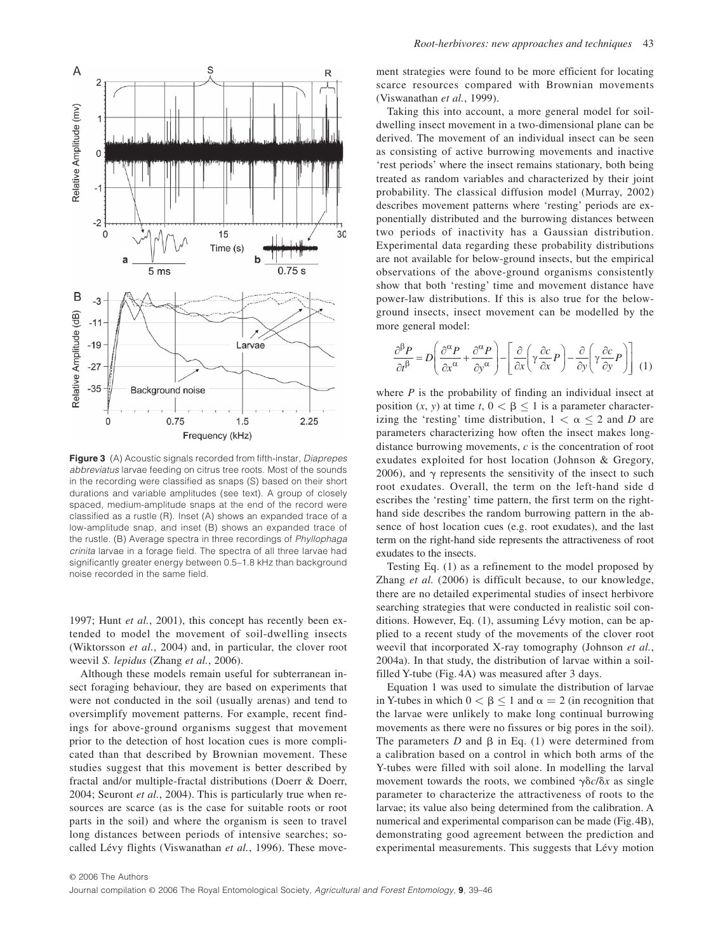

**Figure 3** (A) Acoustic signals recorded from fifth-instar *, Diaprepes abbreviatus* larvae feeding on citrus tree roots. Most of the sounds in the recording were classified as snaps (S) based on their short durations and variable amplitudes (see text). A group of closely spaced, medium-amplitude snaps at the end of the record were classified as a rustle (R). Inset (A) shows an expanded trace of a low-amplitude snap, and inset (B) shows an expanded trace of the rustle. (B) Average spectra in three recordings of *Phyllophaga crinita* larvae in a forage field. The spectra of all three larvae had significantly greater energy between 0.5-1.8 kHz than background noise recorded in the same field.

1997; Hunt et al., 2001), this concept has recently been extended to model the movement of soil-dwelling insects (Wiktorsson *et al.*, 2004) and, in particular, the clover root weevil *S. lepidus* (Zhang et al., 2006).

 Although these models remain useful for subterranean insect foraging behaviour, they are based on experiments that were not conducted in the soil (usually arenas) and tend to oversimplify movement patterns. For example, recent findings for above-ground organisms suggest that movement prior to the detection of host location cues is more complicated than that described by Brownian movement. These studies suggest that this movement is better described by fractal and/or multiple-fractal distributions (Doerr & Doerr, 2004; Seuront *et al.*, 2004). This is particularly true when resources are scarce (as is the case for suitable roots or root parts in the soil) and where the organism is seen to travel long distances between periods of intensive searches; socalled Lévy flights (Viswanathan et al., 1996). These movement strategies were found to be more efficient for locating scarce resources compared with Brownian movements (Viswanathan et al., 1999).

 Taking this into account, a more general model for soildwelling insect movement in a two-dimensional plane can be derived. The movement of an individual insect can be seen as consisting of active burrowing movements and inactive 'rest periods' where the insect remains stationary, both being treated as random variables and characterized by their joint probability. The classical diffusion model (Murray, 2002) describes movement patterns where 'resting' periods are exponentially distributed and the burrowing distances between two periods of inactivity has a Gaussian distribution. Experimental data regarding these probability distributions are not available for below-ground insects, but the empirical observations of the above-ground organisms consistently show that both 'resting' time and movement distance have power-law distributions. If this is also true for the belowground insects, insect movement can be modelled by the more general model:

$$
\frac{\partial^{\beta} P}{\partial t^{\beta}} = D \left( \frac{\partial^{\alpha} P}{\partial x^{\alpha}} + \frac{\partial^{\alpha} P}{\partial y^{\alpha}} \right) - \left[ \frac{\partial}{\partial x} \left( \gamma \frac{\partial c}{\partial x} P \right) - \frac{\partial}{\partial y} \left( \gamma \frac{\partial c}{\partial y} P \right) \right] (1)
$$

where  $P$  is the probability of finding an individual insect at position  $(x, y)$  at time  $t, 0 < \beta \le 1$  is a parameter characterizing the 'resting' time distribution,  $1 < \alpha < 2$  and *D* are parameters characterizing how often the insect makes longdistance burrowing movements, *c* is the concentration of root exudates exploited for host location (Johnson & Gregory, 2006), and  $\gamma$  represents the sensitivity of the insect to such root exudates. Overall, the term on the left-hand side d escribes the 'resting' time pattern, the first term on the righthand side describes the random burrowing pattern in the absence of host location cues (e.g. root exudates), and the last term on the right-hand side represents the attractiveness of root exudates to the insects.

 Testing Eq. (1) as a refinement to the model proposed by Zhang *et al.* (2006) is difficult because, to our knowledge, there are no detailed experimental studies of insect herbivore searching strategies that were conducted in realistic soil conditions. However, Eq. (1), assuming Lévy motion, can be applied to a recent study of the movements of the clover root weevil that incorporated X-ray tomography (Johnson et al., 2004a). In that study, the distribution of larvae within a soilfilled Y-tube (Fig. 4A) was measured after 3 days.

 Equation 1 was used to simulate the distribution of larvae in Y-tubes in which  $0 < \beta \le 1$  and  $\alpha = 2$  (in recognition that the larvae were unlikely to make long continual burrowing movements as there were no fissures or big pores in the soil). The parameters  $D$  and  $\beta$  in Eq. (1) were determined from a calibration based on a control in which both arms of the Y-tubes were filled with soil alone. In modelling the larval movement towards the roots, we combined  $\gamma \delta c / \delta x$  as single parameter to characterize the attractiveness of roots to the larvae; its value also being determined from the calibration. A numerical and experimental comparison can be made (Fig. 4B), demonstrating good agreement between the prediction and experimental measurements. This suggests that Lévy motion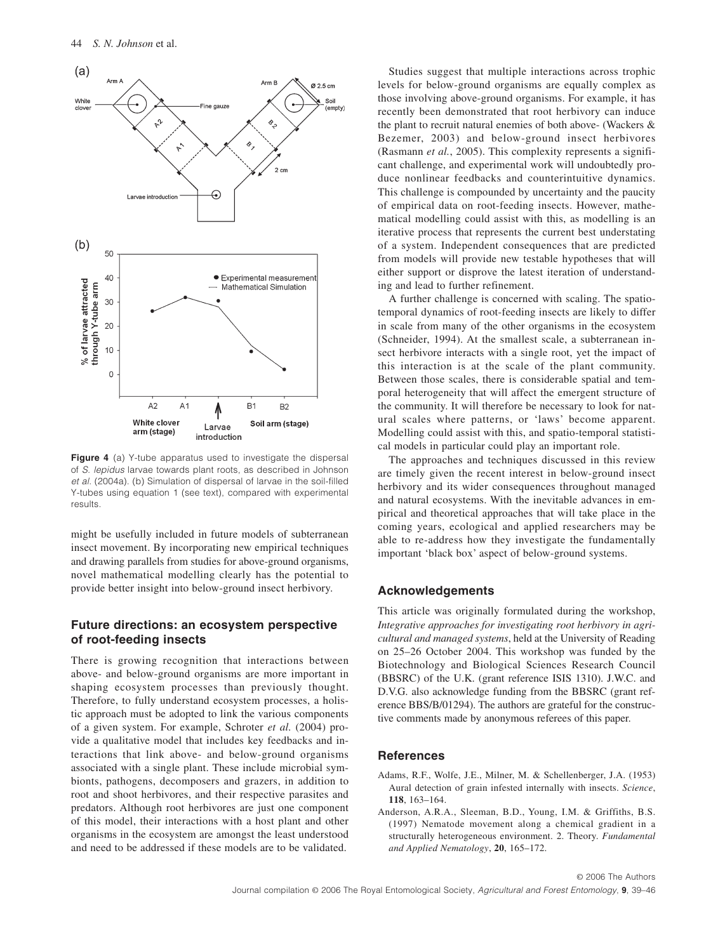![](_page_5_Figure_1.jpeg)

**Figure 4** (a) Y-tube apparatus used to investigate the dispersal of *S. lepidus* larvae towards plant roots, as described in Johnson *et al*. (2004a). (b) Simulation of dispersal of larvae in the soil-filled Y-tubes using equation 1 (see text), compared with experimental results.

might be usefully included in future models of subterranean insect movement. By incorporating new empirical techniques and drawing parallels from studies for above-ground organisms, novel mathematical modelling clearly has the potential to provide better insight into below-ground insect herbivory.

# **Future directions: an ecosystem perspective of root-feeding insects**

 There is growing recognition that interactions between above- and below-ground organisms are more important in shaping ecosystem processes than previously thought. Therefore, to fully understand ecosystem processes, a holistic approach must be adopted to link the various components of a given system. For example, Schroter *et al.* (2004) provide a qualitative model that includes key feedbacks and interactions that link above- and below-ground organisms associated with a single plant. These include microbial symbionts, pathogens, decomposers and grazers, in addition to root and shoot herbivores, and their respective parasites and predators. Although root herbivores are just one component of this model, their interactions with a host plant and other organisms in the ecosystem are amongst the least understood and need to be addressed if these models are to be validated.

 Studies suggest that multiple interactions across trophic levels for below-ground organisms are equally complex as those involving above-ground organisms. For example, it has recently been demonstrated that root herbivory can induce the plant to recruit natural enemies of both above- (Wackers & Bezemer, 2003) and below-ground insect herbivores (Rasmann *et al.*, 2005). This complexity represents a significant challenge, and experimental work will undoubtedly produce nonlinear feedbacks and counterintuitive dynamics. This challenge is compounded by uncertainty and the paucity of empirical data on root-feeding insects. However, mathematical modelling could assist with this, as modelling is an iterative process that represents the current best understating of a system. Independent consequences that are predicted from models will provide new testable hypotheses that will either support or disprove the latest iteration of understanding and lead to further refinement.

 A further challenge is concerned with scaling. The spatiotemporal dynamics of root-feeding insects are likely to differ in scale from many of the other organisms in the ecosystem (Schneider, 1994). At the smallest scale, a subterranean insect herbivore interacts with a single root, yet the impact of this interaction is at the scale of the plant community. Between those scales, there is considerable spatial and temporal heterogeneity that will affect the emergent structure of the community. It will therefore be necessary to look for natural scales where patterns, or 'laws' become apparent. Modelling could assist with this, and spatio-temporal statistical models in particular could play an important role.

 The approaches and techniques discussed in this review are timely given the recent interest in below-ground insect herbivory and its wider consequences throughout managed and natural ecosystems. With the inevitable advances in empirical and theoretical approaches that will take place in the coming years, ecological and applied researchers may be able to re-address how they investigate the fundamentally important 'black box' aspect of below-ground systems.

#### **Acknowledgements**

 This article was originally formulated during the workshop, *Integrative approaches for investigating root herbivory in agricultural and managed systems* , held at the University of Reading on 25–26 October 2004. This workshop was funded by the Biotechnology and Biological Sciences Research Council (BBSRC) of the U.K. (grant reference ISIS 1310). J.W.C. and D.V.G. also acknowledge funding from the BBSRC (grant reference BBS/B/01294). The authors are grateful for the constructive comments made by anonymous referees of this paper.

#### **References**

- Adams, R.F., Wolfe, J.E., Milner, M. & Schellenberger, J.A. (1953) Aural detection of grain infested internally with insects . *Science* , **118** 163-164
- Anderson, A.R.A., Sleeman, B.D., Young, I.M. & Griffiths, B.S. (1997) Nematode movement along a chemical gradient in a structurally heterogeneous environment. 2. Theory. *Fundamental and Applied Nematology* , **20** , 165 – 172 .

© 2006 The Authors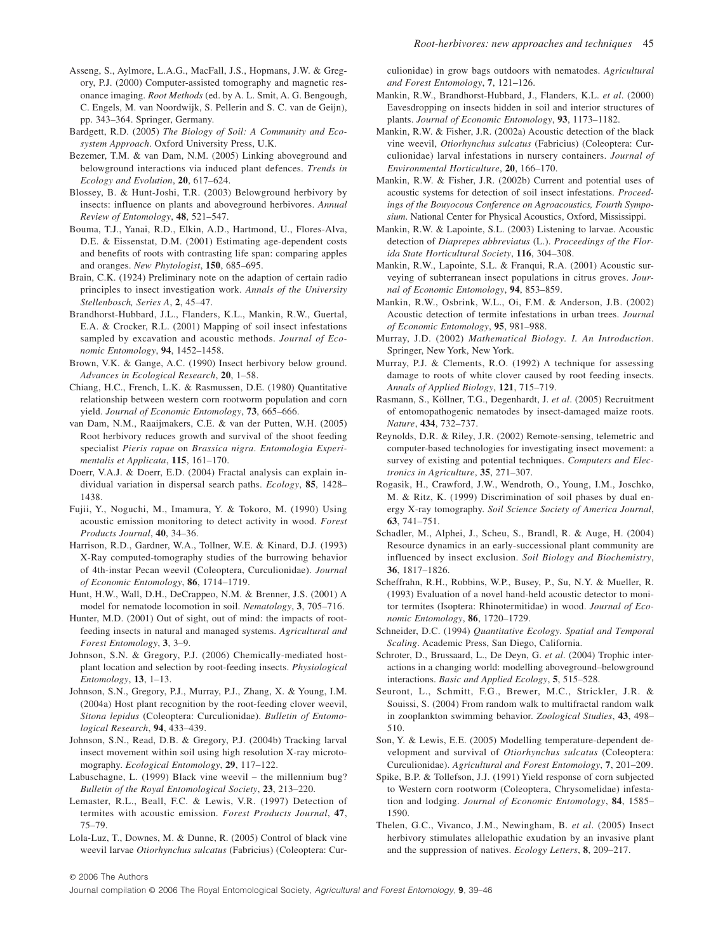- Asseng, S., Aylmore, L.A.G., MacFall, J.S., Hopmans, J.W. & Gregory, P.J. (2000) Computer-assisted tomography and magnetic resonance imaging. *Root Methods* (ed. by A. L. Smit, A. G. Bengough, C. Engels, M. van Noordwijk, S. Pellerin and S. C. van de Geijn), pp. 343-364. Springer, Germany.
- Bardgett, R.D. (2005) The Biology of Soil: A Community and Ecosystem Approach. Oxford University Press, U.K.
- Bezemer, T.M. & van Dam, N.M. (2005) Linking aboveground and belowground interactions via induced plant defences . *Trends in Ecology and Evolution*, **20**, 617-624.
- Blossey, B. & Hunt-Joshi, T.R. (2003) Belowground herbivory by insects: influence on plants and aboveground herbivores . *Annual Review of Entomology* , **48** , 521 – 547 .
- Bouma, T.J., Yanai, R.D., Elkin, A.D., Hartmond, U., Flores-Alva, D.E. & Eissenstat, D.M. (2001) Estimating age-dependent costs and benefits of roots with contrasting life span: comparing apples and oranges. New Phytologist, 150, 685-695.
- Brain, C.K. (1924) Preliminary note on the adaption of certain radio principles to insect investigation work . *Annals of the University Stellenbosch, Series A, 2, 45-47.*
- Brandhorst-Hubbard, J.L., Flanders, K.L., Mankin, R.W., Guertal, E.A. & Crocker, R.L. (2001) Mapping of soil insect infestations sampled by excavation and acoustic methods . *Journal of Economic Entomology* , **94** , 1452 – 1458 .
- Brown, V.K. & Gange, A.C. (1990) Insect herbivory below ground. Advances in Ecological Research, 20, 1-58.
- Chiang, H.C., French, L.K. & Rasmussen, D.E. (1980) Quantitative relationship between western corn rootworm population and corn yield. Journal of Economic Entomology, 73, 665-666.
- van Dam, N.M., Raaijmakers, C.E. & van der Putten, W.H. (2005) Root herbivory reduces growth and survival of the shoot feeding specialist *Pieris rapae* on *Brassica nigra* . *Entomologia Experimentalis et Applicata*, **115**, 161-170.
- Doerr, V.A.J. & Doerr, E.D. (2004) Fractal analysis can explain individual variation in dispersal search paths. *Ecology*, 85, 1428-1438
- Fujii, Y., Noguchi, M., Imamura, Y. & Tokoro, M. (1990) Using acoustic emission monitoring to detect activity in wood . *Forest Products Journal* , **40** , 34 – 36 .
- Harrison, R.D., Gardner, W.A., Tollner, W.E. & Kinard, D.J. (1993) X-Ray computed-tomography studies of the burrowing behavior of 4th-instar Pecan weevil (Coleoptera, Curculionidae) . *Journal of Economic Entomology* , **86** , 1714 – 1719 .
- Hunt, H.W., Wall, D.H., DeCrappeo, N.M. & Brenner, J.S. (2001) A model for nematode locomotion in soil. *Nematology*, 3, 705-716.
- Hunter, M.D. (2001) Out of sight, out of mind: the impacts of rootfeeding insects in natural and managed systems . *Agricultural and Forest Entomology*, 3, 3-9.
- Johnson, S.N. & Gregory, P.J. (2006) Chemically-mediated hostplant location and selection by root-feeding insects . *Physiological Entomology*, 13, 1–13.
- Johnson, S.N., Gregory, P.J., Murray, P.J., Zhang, X. & Young, I.M. (2004a) Host plant recognition by the root-feeding clover weevil, Sitona lepidus (Coleoptera: Curculionidae). Bulletin of Entomo*logical Research*, 94, 433-439.
- Johnson, S.N., Read, D.B. & Gregory, P.J. (2004b) Tracking larval insect movement within soil using high resolution X-ray microtomography. *Ecological Entomology*, 29, 117-122.
- Labuschagne, L. (1999) Black vine weevil the millennium bug? *Bulletin of the Royal Entomological Society* , **23** , 213 – 220 .
- Lemaster, R.L., Beall, F.C. & Lewis, V.R. (1997) Detection of termites with acoustic emission. Forest Products Journal, 47,  $75 - 79.$
- Lola-Luz, T., Downes, M. & Dunne, R. (2005) Control of black vine weevil larvae *Otiorhynchus sulcatus* (Fabricius) (Coleoptera: Cur-

culionidae) in grow bags outdoors with nematodes . *Agricultural and Forest Entomology* , **7** , 121 – 126 .

- Mankin, R.W., Brandhorst-Hubbard, J., Flanders, K.L. et al. (2000) Eavesdropping on insects hidden in soil and interior structures of plants. *Journal of Economic Entomology*, 93, 1173-1182.
- Mankin, R.W. & Fisher, J.R. (2002a) Acoustic detection of the black vine weevil, *Otiorhynchus sulcatus* (Fabricius) (Coleoptera: Curculionidae) larval infestations in nursery containers . *Journal of Environmental Horticulture*, 20, 166-170.
- Mankin, R.W. & Fisher, J.R. (2002b) Current and potential uses of acoustic systems for detection of soil insect infestations . *Proceedings of the Bouyocous Conference on Agroacoustics, Fourth Sympo*sium. National Center for Physical Acoustics, Oxford, Mississippi.
- Mankin, R.W. & Lapointe, S.L. (2003) Listening to larvae. Acoustic detection of *Diaprepes abbreviatus* (L.) . *Proceedings of the Flor*ida State Horticultural Society, 116, 304-308.
- Mankin, R.W., Lapointe, S.L. & Franqui, R.A. (2001) Acoustic surveying of subterranean insect populations in citrus groves . *Journal of Economic Entomology* , **94** , 853 – 859 .
- Mankin, R.W., Osbrink, W.L., Oi, F.M. & Anderson, J.B. (2002) Acoustic detection of termite infestations in urban trees . *Journal of Economic Entomology* , **95** , 981 – 988 .
- Murray, J.D. (2002) Mathematical Biology. I. An Introduction. Springer, New York, New York.
- Murray, P.J. & Clements, R.O. (1992) A technique for assessing damage to roots of white clover caused by root feeding insects . *Annals of Applied Biology* , **121** , 715 – 719 .
- Rasmann, S., Köllner, T.G., Degenhardt, J. et al. (2005) Recruitment of entomopathogenic nematodes by insect-damaged maize roots . *Nature* , **434** , 732 – 737 .
- Reynolds, D.R. & Riley, J.R. (2002) Remote-sensing, telemetric and computer-based technologies for investigating insect movement: a survey of existing and potential techniques . *Computers and Electronics in Agriculture*, 35, 271-307.
- Rogasik, H., Crawford, J.W., Wendroth, O., Young, I.M., Joschko, M. & Ritz, K. (1999) Discrimination of soil phases by dual energy X-ray tomography. Soil Science Society of America Journal, **63**, 741–751.
- Schadler, M., Alphei, J., Scheu, S., Brandl, R. & Auge, H. (2004) Resource dynamics in an early-successional plant community are influenced by insect exclusion . *Soil Biology and Biochemistry* , 36, 1817-1826.
- Scheffrahn, R.H., Robbins, W.P., Busey, P., Su, N.Y. & Mueller, R. ( 1993 ) Evaluation of a novel hand-held acoustic detector to monitor termites (Isoptera: Rhinotermitidae) in wood . *Journal of Economic Entomology*, 86, 1720-1729.
- Schneider, D.C. (1994) Quantitative Ecology. Spatial and Temporal *Scaling* . Academic Press, San Diego, California .
- Schroter, D., Brussaard, L., De Deyn, G. et al. (2004) Trophic interactions in a changing world: modelling aboveground – belowground interactions. *Basic and Applied Ecology*, 5, 515-528.
- Seuront, L., Schmitt, F.G., Brewer, M.C., Strickler, J.R. & Souissi, S. (2004) From random walk to multifractal random walk in zooplankton swimming behavior. *Zoological Studies*, 43, 498-510.
- Son, Y. & Lewis, E.E. (2005) Modelling temperature-dependent development and survival of *Otiorhynchus sulcatus* (Coleoptera: Curculionidae). *Agricultural and Forest Entomology*, 7, 201-209.
- Spike, B.P. & Tollefson, J.J. (1991) Yield response of corn subjected to Western corn rootworm (Coleoptera, Chrysomelidae) infestation and lodging. *Journal of Economic Entomology*, 84, 1585– 1590 .
- Thelen, G.C., Vivanco, J.M., Newingham, B. et al. (2005) Insect herbivory stimulates allelopathic exudation by an invasive plant and the suppression of natives. *Ecology Letters*, 8, 209–217.

© 2006 The Authors

Journal compilation © 2006 The Royal Entomological Society, *Agricultural and Forest Entomology*, **9**, 39–46